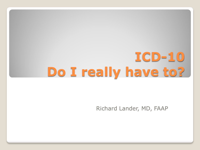# **ICD-10 Do I really have to?**

Richard Lander, MD, FAAP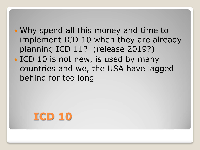- Why spend all this money and time to implement ICD 10 when they are already planning ICD 11? (release 2019?)
- ICD 10 is not new, is used by many countries and we, the USA have lagged behind for too long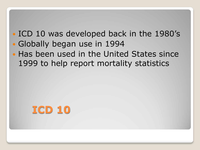## • ICD 10 was developed back in the 1980's Globally began use in 1994

. Has been used in the United States since 1999 to help report mortality statistics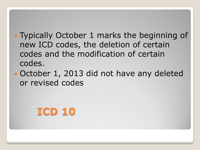- Typically October 1 marks the beginning of new ICD codes, the deletion of certain codes and the modification of certain codes.
- October 1, 2013 did not have any deleted or revised codes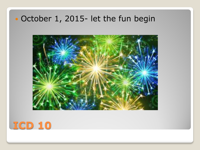#### October 1, 2015- let the fun begin



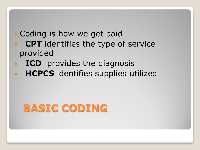#### • Coding is how we get paid **CPT** identifies the type of service provided

- **ICD** provides the diagnosis
- **HCPCS** identifies supplies utilized

# **BASIC CODING**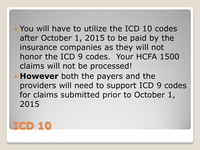- You will have to utilize the ICD 10 codes after October 1, 2015 to be paid by the insurance companies as they will not honor the ICD 9 codes. Your HCFA 1500 claims will not be processed!
- **However** both the payers and the providers will need to support ICD 9 codes for claims submitted prior to October 1, 2015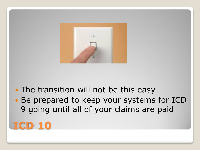

## • The transition will not be this easy

 Be prepared to keep your systems for ICD 9 going until all of your claims are paid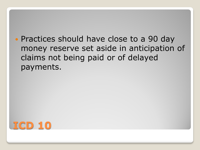• Practices should have close to a 90 day money reserve set aside in anticipation of claims not being paid or of delayed payments.

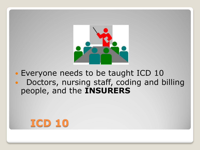

 Everyone needs to be taught ICD 10 Doctors, nursing staff, coding and billing people, and the **INSURERS**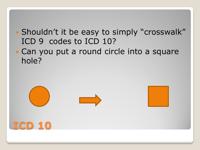- Shouldn't it be easy to simply "crosswalk" ICD 9 codes to ICD 10?
- Can you put a round circle into a square hole?

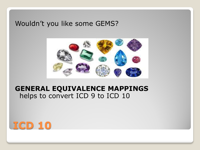#### Wouldn't you like some GEMS?



#### **GENERAL EQUIVALENCE MAPPINGS** helps to convert ICD 9 to ICD 10

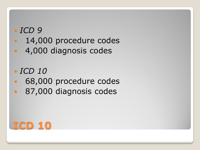- 14,000 procedure codes
- 4,000 diagnosis codes

## *ICD 10*

- 68,000 procedure codes
- 87,000 diagnosis codes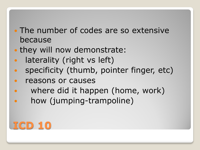- The number of codes are so extensive because
- they will now demonstrate:
- laterality (right vs left)
- specificity (thumb, pointer finger, etc)
- reasons or causes
- where did it happen (home, work)
- how (jumping-trampoline)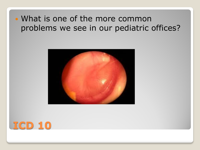#### What is one of the more common problems we see in our pediatric offices?



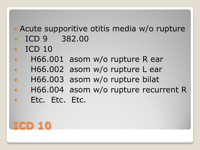## • Acute supporitive otitis media w/o rupture

- ICD 9 382.00
- $\cdot$  ICD 10
- H66.001 asom w/o rupture R ear
- H66.002 asom w/o rupture L ear
- H66.003 asom w/o rupture bilat
- H66.004 asom w/o rupture recurrent R
- Etc. Etc. Etc.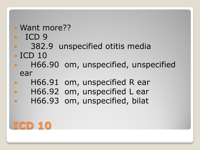#### Want more??

- ICD 9
- 382.9 unspecified otitis media
- $\cdot$  ICD 10
- H66.90 om, unspecified, unspecified ear
- H66.91 om, unspecified R ear
- H66.92 om, unspecified L ear
- H66.93 om, unspecified, bilat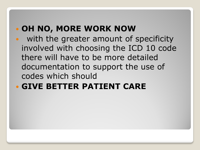## **OH NO, MORE WORK NOW**

 with the greater amount of specificity involved with choosing the ICD 10 code there will have to be more detailed documentation to support the use of codes which should

## **GIVE BETTER PATIENT CARE**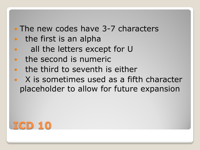#### • The new codes have 3-7 characters

- the first is an alpha
- all the letters except for U
- the second is numeric
- the third to seventh is either
- X is sometimes used as a fifth character placeholder to allow for future expansion

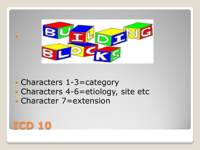

- Characters 1-3=category
- Characters 4-6=etiology, site etc
- Character 7=extension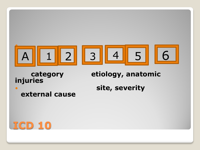

**injuries**

#### **category etiology, anatomic**

**external cause** 

**and Site, severity** site, severity

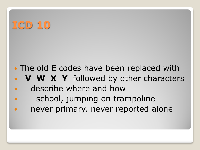- The old E codes have been replaced with
- **V W X Y** followed by other characters
- describe where and how school, jumping on trampoline
- never primary, never reported alone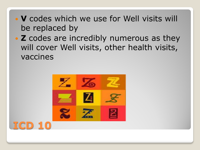- **V** codes which we use for Well visits will be replaced by
- **Z** codes are incredibly numerous as they will cover Well visits, other health visits, vaccines



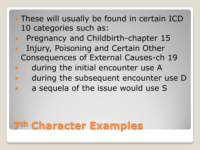- These will usually be found in certain ICD 10 categories such as:
- Pregnancy and Childbirth-chapter 15
- Injury, Poisoning and Certain Other Consequences of External Causes-ch 19
- during the initial encounter use A
- during the subsequent encounter use D
- a sequela of the issue would use S

# **7th Character Examples**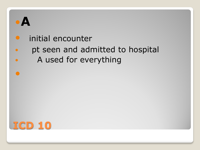

#### **•** initial encounter

## pt seen and admitted to hospital

A used for everything

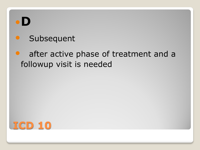

## **•** Subsequent

## • after active phase of treatment and a followup visit is needed

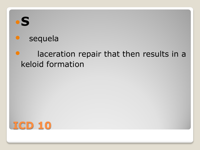

#### sequela

## **•** laceration repair that then results in a keloid formation

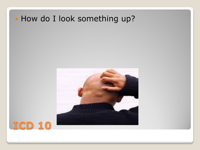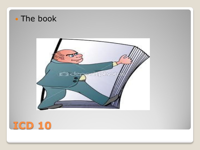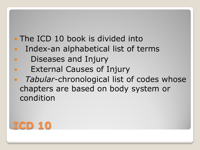## • The ICD 10 book is divided into

- Index-an alphabetical list of terms
- Diseases and Injury
- External Causes of Injury
- *Tabular*-chronological list of codes whose chapters are based on body system or condition

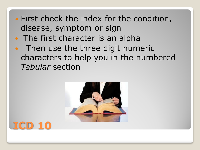- First check the index for the condition, disease, symptom or sign
- The first character is an alpha
- Then use the three digit numeric characters to help you in the numbered *Tabular* section



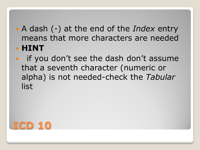- A dash (-) at the end of the *Index* entry means that more characters are needed **HINT**
- if you don't see the dash don't assume that a seventh character (numeric or alpha) is not needed-check the *Tabular* list

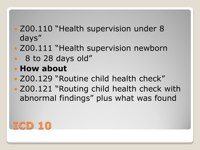## • Z00.110 "Health supervision under 8 days"

- Z00.111 "Health supervision newborn
- 8 to 28 days old"

## **How about**

- Z00.129 "Routine child health check"
- Z00.121 "Routing child health check with abnormal findings" plus what was found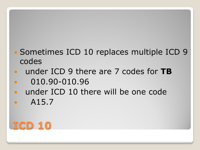## • Sometimes ICD 10 replaces multiple ICD 9 codes

- under ICD 9 there are 7 codes for **TB** 010.90-010.96
- under ICD 10 there will be one code
- $\bullet$  A15.7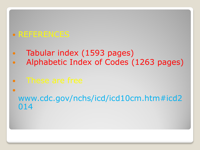#### REFERENCES

- Tabular index (1593 pages)
- Alphabetic Index of Codes (1263 pages)
- These are free
- $\bullet$ www.cdc.gov/nchs/icd/icd10cm.htm#icd2 014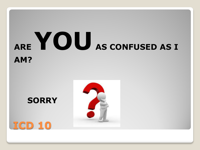# **ARE YOUAS CONFUSED AS I AM?**

## **SORRY**



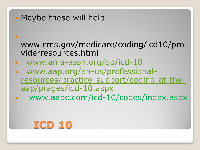• Maybe these will help

 $\bullet$ 

www.cms.gov/medicare/coding/icd10/pro viderresources.html

- [www.ama-assn.org/go/icd-10](http://www.ama-assn.org/go/icd-10)
- [www.aap.org/en-us/professional](http://www.aap.org/en-us/professional-resources/practice-support/coding-at-the-aap/prages/icd-10.aspx)[resources/practice-support/coding-at-the](http://www.aap.org/en-us/professional-resources/practice-support/coding-at-the-aap/prages/icd-10.aspx)[aap/prages/icd-10.aspx](http://www.aap.org/en-us/professional-resources/practice-support/coding-at-the-aap/prages/icd-10.aspx)
- www.aapc.com/icd-10/codes/index.aspx